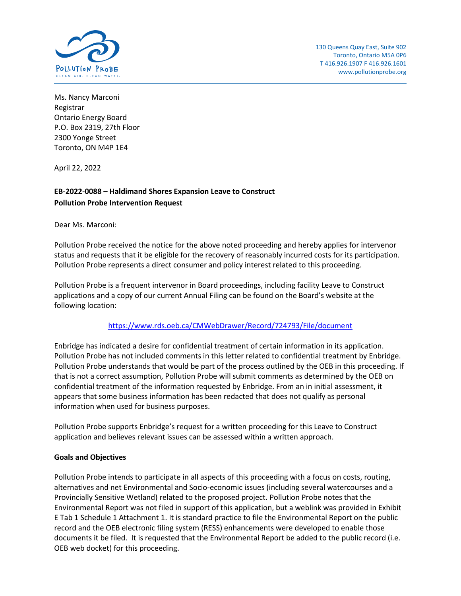

Ms. Nancy Marconi Registrar Ontario Energy Board P.O. Box 2319, 27th Floor 2300 Yonge Street Toronto, ON M4P 1E4

April 22, 2022

# **EB-2022-0088 – Haldimand Shores Expansion Leave to Construct Pollution Probe Intervention Request**

Dear Ms. Marconi:

Pollution Probe received the notice for the above noted proceeding and hereby applies for intervenor status and requests that it be eligible for the recovery of reasonably incurred costs for its participation. Pollution Probe represents a direct consumer and policy interest related to this proceeding.

Pollution Probe is a frequent intervenor in Board proceedings, including facility Leave to Construct applications and a copy of our current Annual Filing can be found on the Board's website at the following location:

## <https://www.rds.oeb.ca/CMWebDrawer/Record/724793/File/document>

Enbridge has indicated a desire for confidential treatment of certain information in its application. Pollution Probe has not included comments in this letter related to confidential treatment by Enbridge. Pollution Probe understands that would be part of the process outlined by the OEB in this proceeding. If that is not a correct assumption, Pollution Probe will submit comments as determined by the OEB on confidential treatment of the information requested by Enbridge. From an in initial assessment, it appears that some business information has been redacted that does not qualify as personal information when used for business purposes.

Pollution Probe supports Enbridge's request for a written proceeding for this Leave to Construct application and believes relevant issues can be assessed within a written approach.

## **Goals and Objectives**

Pollution Probe intends to participate in all aspects of this proceeding with a focus on costs, routing, alternatives and net Environmental and Socio-economic issues (including several watercourses and a Provincially Sensitive Wetland) related to the proposed project. Pollution Probe notes that the Environmental Report was not filed in support of this application, but a weblink was provided in Exhibit E Tab 1 Schedule 1 Attachment 1. It is standard practice to file the Environmental Report on the public record and the OEB electronic filing system (RESS) enhancements were developed to enable those documents it be filed. It is requested that the Environmental Report be added to the public record (i.e. OEB web docket) for this proceeding.